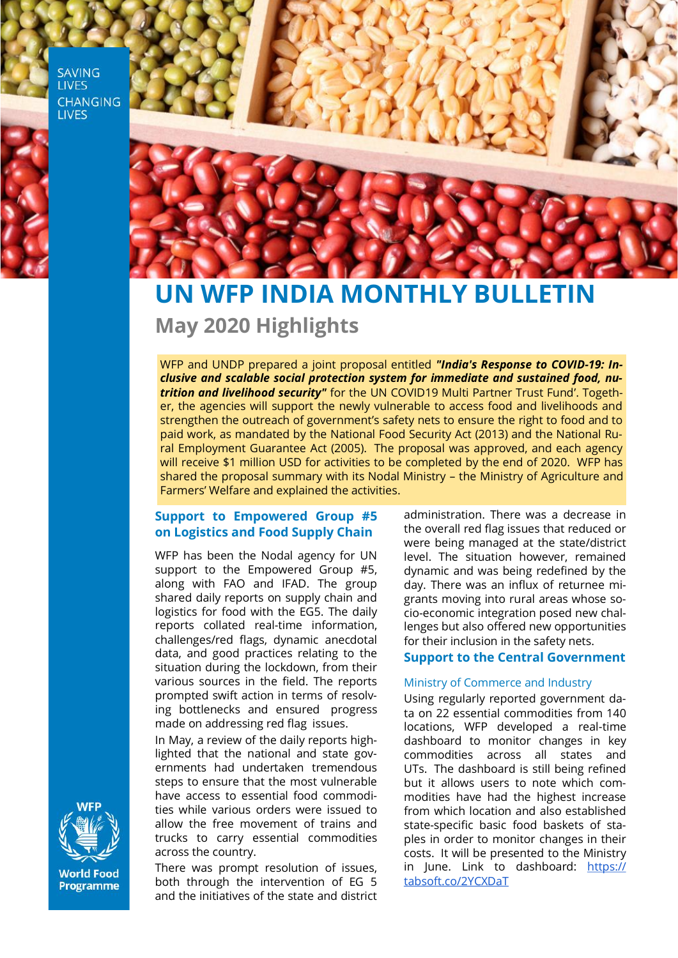**SAVING LIVES CHANGING LIVES** 



# **UN WFP INDIA MONTHLY BULLETIN May 2020 Highlights**

WFP and UNDP prepared a joint proposal entitled *"India's Response to COVID-19: Inclusive and scalable social protection system for immediate and sustained food, nutrition and livelihood security"* for the UN COVID19 Multi Partner Trust Fund'. Together, the agencies will support the newly vulnerable to access food and livelihoods and strengthen the outreach of government's safety nets to ensure the right to food and to paid work, as mandated by the National Food Security Act (2013) and the National Rural Employment Guarantee Act (2005). The proposal was approved, and each agency will receive \$1 million USD for activities to be completed by the end of 2020. WFP has shared the proposal summary with its Nodal Ministry – the Ministry of Agriculture and Farmers' Welfare and explained the activities.

# **Support to Empowered Group #5 on Logistics and Food Supply Chain**

WFP has been the Nodal agency for UN support to the Empowered Group #5, along with FAO and IFAD. The group shared daily reports on supply chain and logistics for food with the EG5. The daily reports collated real-time information, challenges/red flags, dynamic anecdotal data, and good practices relating to the situation during the lockdown, from their various sources in the field. The reports prompted swift action in terms of resolving bottlenecks and ensured progress made on addressing red flag issues.

In May, a review of the daily reports highlighted that the national and state governments had undertaken tremendous steps to ensure that the most vulnerable have access to essential food commodities while various orders were issued to allow the free movement of trains and trucks to carry essential commodities across the country.

There was prompt resolution of issues, both through the intervention of EG 5 and the initiatives of the state and district

administration. There was a decrease in the overall red flag issues that reduced or were being managed at the state/district level. The situation however, remained dynamic and was being redefined by the day. There was an influx of returnee migrants moving into rural areas whose socio-economic integration posed new challenges but also offered new opportunities for their inclusion in the safety nets.

## **Support to the Central Government**

#### Ministry of Commerce and Industry

Using regularly reported government data on 22 essential commodities from 140 locations, WFP developed a real-time dashboard to monitor changes in key commodities across all states and UTs. The dashboard is still being refined but it allows users to note which commodities have had the highest increase from which location and also established state-specific basic food baskets of staples in order to monitor changes in their costs. It will be presented to the Ministry in June. Link to dashboard: [https://](https://tabsoft.co/2YCXDaT) [tabsoft.co/2YCXDaT](https://tabsoft.co/2YCXDaT)



**World Food** Programme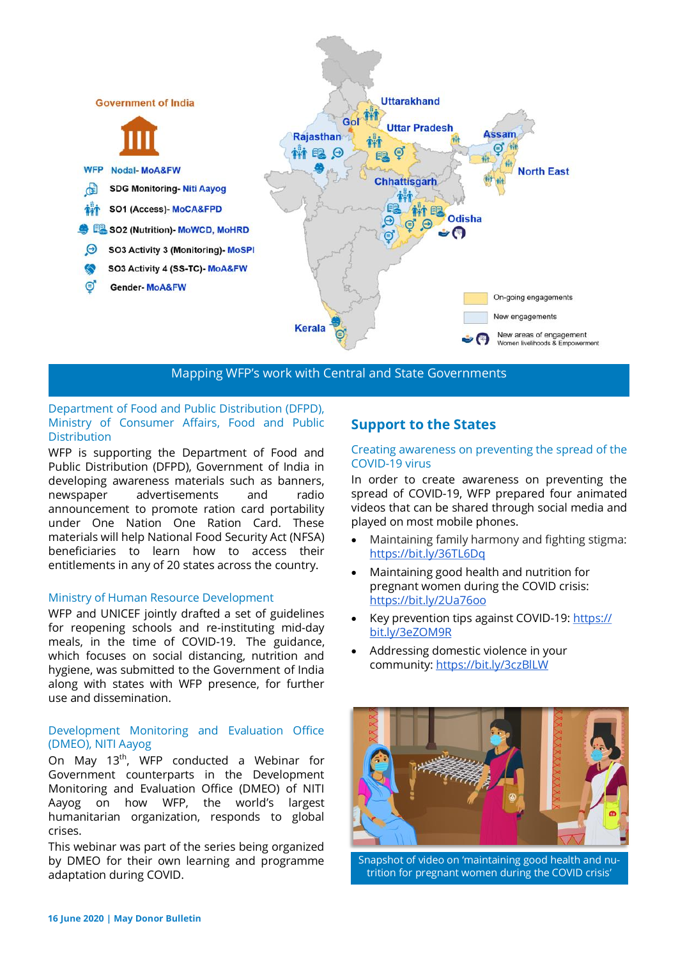

Mapping WFP's work with Central and State Governments

## Department of Food and Public Distribution (DFPD), Ministry of Consumer Affairs, Food and Public **Distribution**

WFP is supporting the Department of Food and Public Distribution (DFPD), Government of India in developing awareness materials such as banners, newspaper advertisements and radio announcement to promote ration card portability under One Nation One Ration Card. These materials will help National Food Security Act (NFSA) beneficiaries to learn how to access their entitlements in any of 20 states across the country.

#### Ministry of Human Resource Development

WFP and UNICEF jointly drafted a set of guidelines for reopening schools and re-instituting mid-day meals, in the time of COVID-19. The guidance, which focuses on social distancing, nutrition and hygiene, was submitted to the Government of India along with states with WFP presence, for further use and dissemination.

# Development Monitoring and Evaluation Office (DMEO), NITI Aayog

On May 13<sup>th</sup>, WFP conducted a Webinar for Government counterparts in the Development Monitoring and Evaluation Office (DMEO) of NITI Aayog on how WFP, the world's largest humanitarian organization, responds to global crises.

This webinar was part of the series being organized by DMEO for their own learning and programme adaptation during COVID.

# **Support to the States**

#### Creating awareness on preventing the spread of the COVID-19 virus

In order to create awareness on preventing the spread of COVID-19, WFP prepared four animated videos that can be shared through social media and played on most mobile phones.

- Maintaining family harmony and fighting stigma: <https://bit.ly/36TL6Dq>
- Maintaining good health and nutrition for pregnant women during the COVID crisis: <https://bit.ly/2Ua76oo>
- Key prevention tips against COVID-19: [https://](https://bit.ly/3eZOM9R) [bit.ly/3eZOM9R](https://bit.ly/3eZOM9R)
- Addressing domestic violence in your community:<https://bit.ly/3czBlLW>



Snapshot of video on 'maintaining good health and nutrition for pregnant women during the COVID crisis'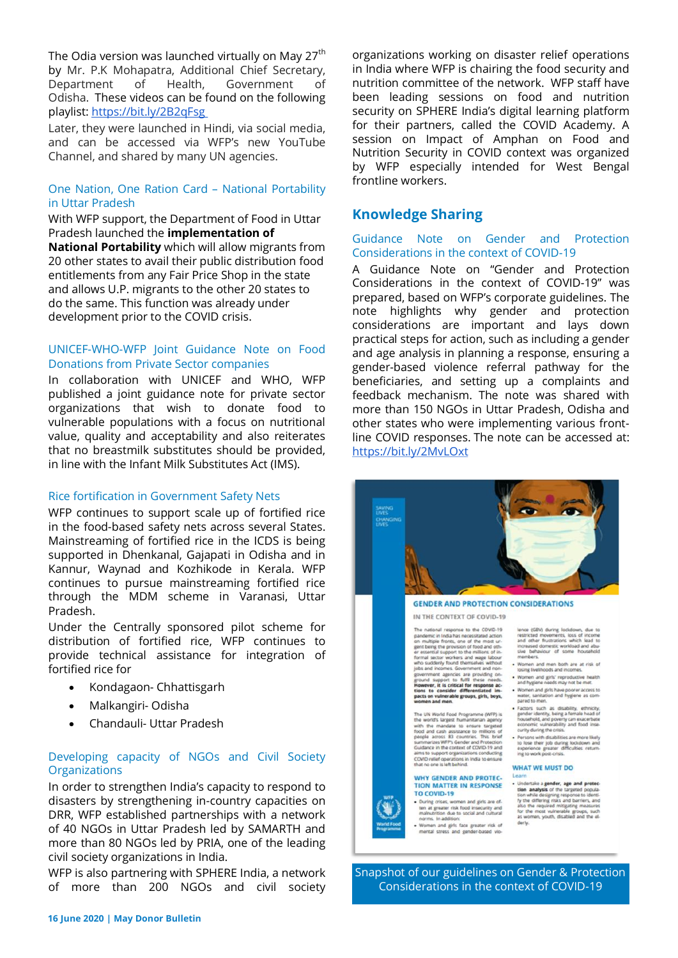The Odia version was launched virtually on May 27<sup>th</sup> by Mr. P.K Mohapatra, Additional Chief Secretary, Department of Health, Government of Odisha. These videos can be found on the following playlist:<https://bit.ly/2B2qFsg>

Later, they were launched in Hindi, via social media, and can be accessed via WFP's new YouTube Channel, and shared by many UN agencies.

# One Nation, One Ration Card – National Portability in Uttar Pradesh

With WFP support, the Department of Food in Uttar Pradesh launched the **implementation of** 

**National Portability** which will allow migrants from 20 other states to avail their public distribution food entitlements from any Fair Price Shop in the state and allows U.P. migrants to the other 20 states to do the same. This function was already under development prior to the COVID crisis.

#### UNICEF-WHO-WFP Joint Guidance Note on Food Donations from Private Sector companies

In collaboration with UNICEF and WHO, WFP published a joint guidance note for private sector organizations that wish to donate food to vulnerable populations with a focus on nutritional value, quality and acceptability and also reiterates that no breastmilk substitutes should be provided, in line with the Infant Milk Substitutes Act (IMS).

#### Rice fortification in Government Safety Nets

WFP continues to support scale up of fortified rice in the food-based safety nets across several States. Mainstreaming of fortified rice in the ICDS is being supported in Dhenkanal, Gajapati in Odisha and in Kannur, Waynad and Kozhikode in Kerala. WFP continues to pursue mainstreaming fortified rice through the MDM scheme in Varanasi, Uttar Pradesh.

Under the Centrally sponsored pilot scheme for distribution of fortified rice, WFP continues to provide technical assistance for integration of fortified rice for

- Kondagaon- Chhattisgarh
- Malkangiri- Odisha
- Chandauli- Uttar Pradesh

# Developing capacity of NGOs and Civil Society **Organizations**

In order to strengthen India's capacity to respond to disasters by strengthening in-country capacities on DRR, WFP established partnerships with a network of 40 NGOs in Uttar Pradesh led by SAMARTH and more than 80 NGOs led by PRIA, one of the leading civil society organizations in India.

WFP is also partnering with SPHERE India, a network of more than 200 NGOs and civil society

organizations working on disaster relief operations in India where WFP is chairing the food security and nutrition committee of the network. WFP staff have been leading sessions on food and nutrition security on SPHERE India's digital learning platform for their partners, called the COVID Academy. A session on Impact of Amphan on Food and Nutrition Security in COVID context was organized by WFP especially intended for West Bengal frontline workers.

# **Knowledge Sharing**

## Guidance Note on Gender and Protection Considerations in the context of COVID-19

A Guidance Note on "Gender and Protection Considerations in the context of COVID-19" was prepared, based on WFP's corporate guidelines. The note highlights why gender and protection considerations are important and lays down practical steps for action, such as including a gender and age analysis in planning a response, ensuring a gender-based violence referral pathway for the beneficiaries, and setting up a complaints and feedback mechanism. The note was shared with more than 150 NGOs in Uttar Pradesh, Odisha and other states who were implementing various frontline COVID responses. The note can be accessed at: <https://bit.ly/2MvLOxt>



Snapshot of our guidelines on Gender & Protection Considerations in the context of COVID-19